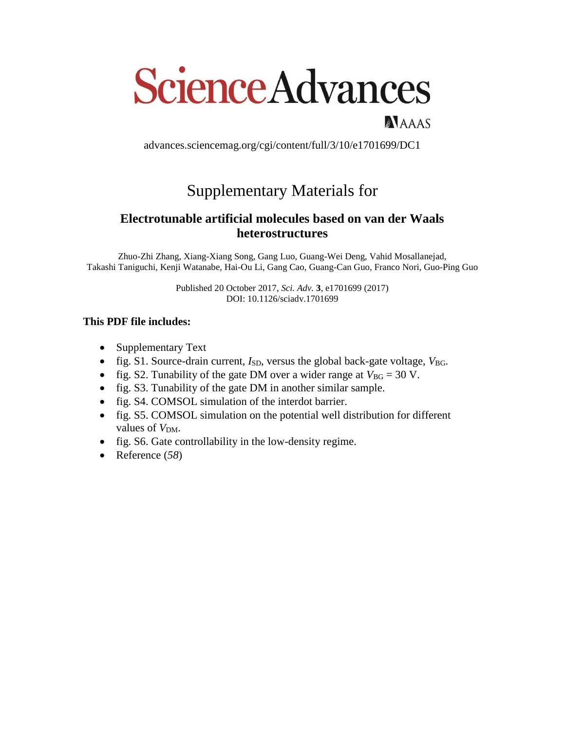# **Science Advances**

advances.sciencemag.org/cgi/content/full/3/10/e1701699/DC1

NAAAS

## Supplementary Materials for

### **Electrotunable artificial molecules based on van der Waals heterostructures**

Zhuo-Zhi Zhang, Xiang-Xiang Song, Gang Luo, Guang-Wei Deng, Vahid Mosallanejad, Takashi Taniguchi, Kenji Watanabe, Hai-Ou Li, Gang Cao, Guang-Can Guo, Franco Nori, Guo-Ping Guo

> Published 20 October 2017, *Sci. Adv.* **3**, e1701699 (2017) DOI: 10.1126/sciadv.1701699

#### **This PDF file includes:**

- Supplementary Text
- fig. S1. Source-drain current,  $I_{SD}$ , versus the global back-gate voltage,  $V_{BG}$ .
- fig. S2. Tunability of the gate DM over a wider range at  $V_{BG} = 30$  V.
- fig. S3. Tunability of the gate DM in another similar sample.
- fig. S4. COMSOL simulation of the interdot barrier.
- fig. S5. COMSOL simulation on the potential well distribution for different values of  $V<sub>DM</sub>$ .
- fig. S6. Gate controllability in the low-density regime.
- Reference (*58*)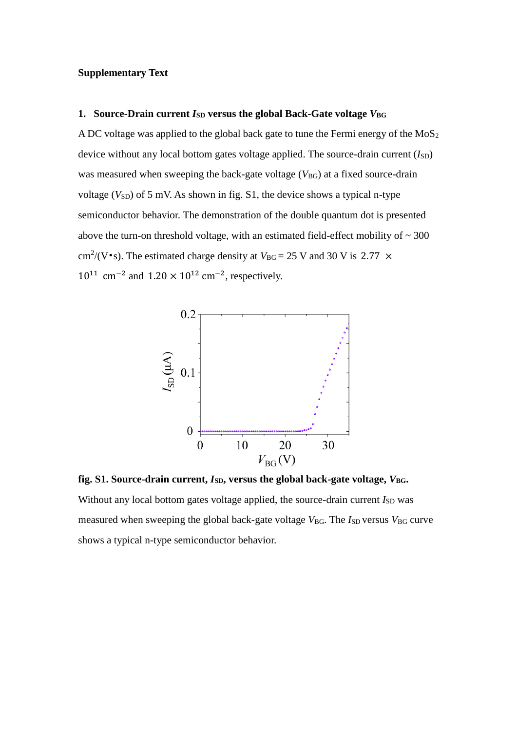#### **Supplementary Text**

#### **1.** Source-Drain current *I*<sub>SD</sub> versus the global Back-Gate voltage *V*<sub>BG</sub>

A DC voltage was applied to the global back gate to tune the Fermi energy of the  $MoS<sub>2</sub>$ device without any local bottom gates voltage applied. The source-drain current  $(I_{SD})$ was measured when sweeping the back-gate voltage ( $V_{BG}$ ) at a fixed source-drain voltage ( $V_{SD}$ ) of 5 mV. As shown in fig. S1, the device shows a typical n-type semiconductor behavior. The demonstration of the double quantum dot is presented above the turn-on threshold voltage, with an estimated field-effect mobility of  $\sim 300$ cm<sup>2</sup>/(V•s). The estimated charge density at  $V_{BG} = 25$  V and 30 V is 2.77  $\times$  $10^{11}$  cm<sup>-2</sup> and  $1.20 \times 10^{12}$  cm<sup>-2</sup>, respectively.



fig. S1. Source-drain current,  $I_{SD}$ , versus the global back-gate voltage,  $V_{BG}$ . Without any local bottom gates voltage applied, the source-drain current  $I_{SD}$  was measured when sweeping the global back-gate voltage *V*<sub>BG</sub>. The *I*<sub>SD</sub> versus *V*<sub>BG</sub> curve shows a typical n-type semiconductor behavior.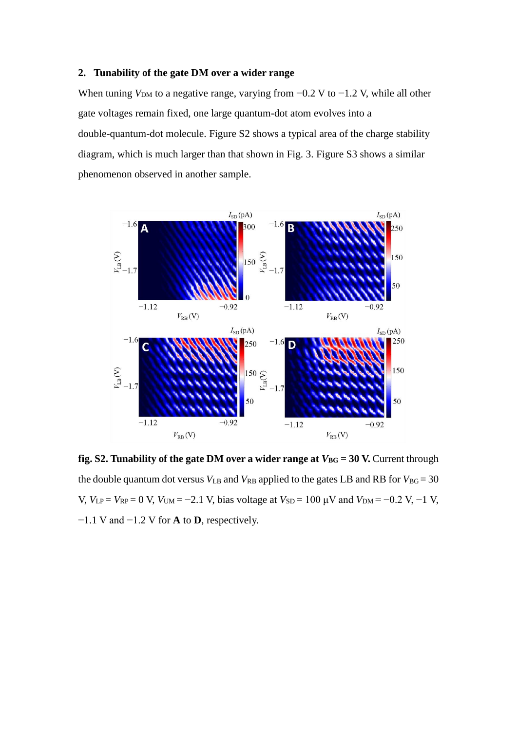#### **2. Tunability of the gate DM over a wider range**

When tuning  $V<sub>DM</sub>$  to a negative range, varying from  $-0.2$  V to  $-1.2$  V, while all other gate voltages remain fixed, one large quantum-dot atom evolves into a double-quantum-dot molecule. Figure S2 shows a typical area of the charge stability diagram, which is much larger than that shown in Fig. 3. Figure S3 shows a similar phenomenon observed in another sample.



**fig. S2. Tunability of the gate DM over a wider range at**  $V_{BG} = 30$  **V. Current through** the double quantum dot versus  $V_{LB}$  and  $V_{RB}$  applied to the gates LB and RB for  $V_{BG} = 30$  $V, V<sub>LP</sub> = V<sub>RP</sub> = 0$  V,  $V<sub>UM</sub> = −2.1$  V, bias voltage at  $V<sub>SD</sub> = 100$  μV and  $V<sub>DM</sub> = −0.2$  V, −1 V, −1.1 V and −1.2 V for **A** to **D**, respectively.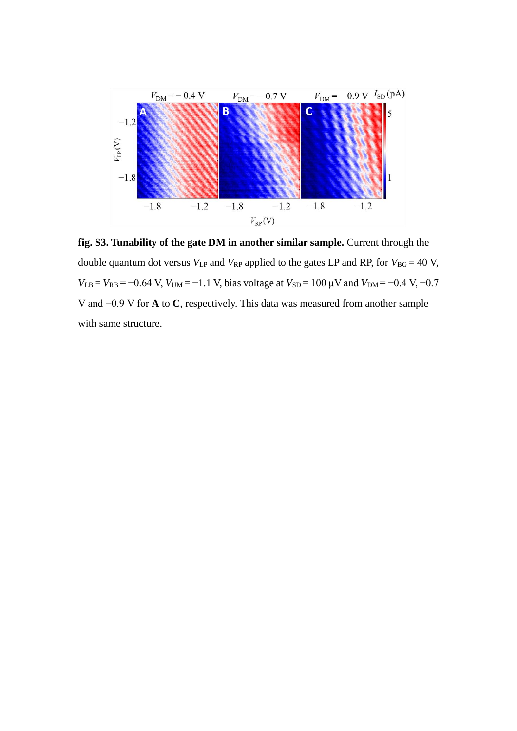

**fig. S3. Tunability of the gate DM in another similar sample.** Current through the double quantum dot versus  $V_{LP}$  and  $V_{RP}$  applied to the gates LP and RP, for  $V_{BG} = 40$  V,  $V_{LB} = V_{RB} = -0.64$  V,  $V_{UM} = -1.1$  V, bias voltage at  $V_{SD} = 100 \mu$ V and  $V_{DM} = -0.4$  V,  $-0.7$ V and −0.9 V for **A** to **C**, respectively. This data was measured from another sample with same structure.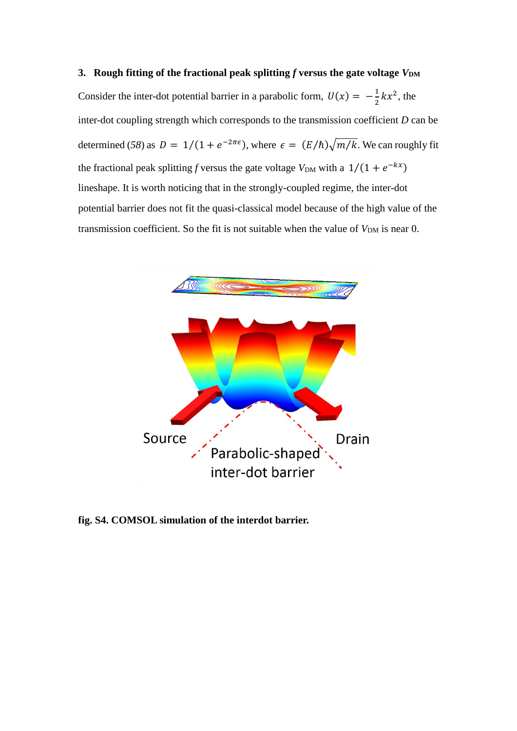Consider the inter-dot potential barrier in a parabolic form,  $U(x) = -\frac{1}{3}$  $\frac{1}{2}kx^2$ , the inter-dot coupling strength which corresponds to the transmission coefficient *D* can be determined (58) as  $D = 1/(1 + e^{-2\pi\epsilon})$ , where  $\epsilon = (E/\hbar)\sqrt{m/k}$ . We can roughly fit the fractional peak splitting *f* versus the gate voltage  $V_{DM}$  with a  $1/(1 + e^{-kx})$ lineshape. It is worth noticing that in the strongly-coupled regime, the inter-dot potential barrier does not fit the quasi-classical model because of the high value of the transmission coefficient. So the fit is not suitable when the value of  $V_{DM}$  is near 0.



**fig. S4. COMSOL simulation of the interdot barrier.**

#### **3.** Rough fitting of the fractional peak splitting f versus the gate voltage  $V_{DM}$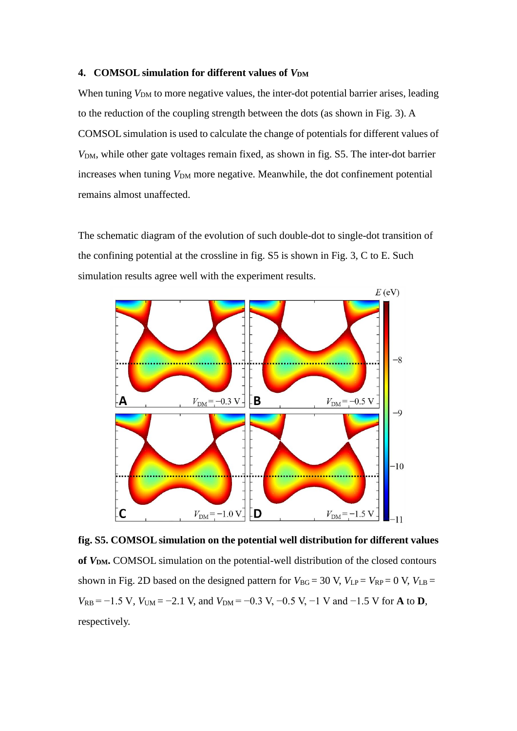#### **4. COMSOL simulation for different values of** *V***DM**

When tuning *V*<sub>DM</sub> to more negative values, the inter-dot potential barrier arises, leading to the reduction of the coupling strength between the dots (as shown in Fig. 3). A COMSOL simulation is used to calculate the change of potentials for different values of  $V<sub>DM</sub>$ , while other gate voltages remain fixed, as shown in fig. S5. The inter-dot barrier increases when tuning  $V_{DM}$  more negative. Meanwhile, the dot confinement potential remains almost unaffected.

The schematic diagram of the evolution of such double-dot to single-dot transition of the confining potential at the crossline in fig. S5 is shown in Fig. 3, C to E. Such simulation results agree well with the experiment results.



**fig. S5. COMSOL simulation on the potential well distribution for different values of** *V***DM.** COMSOL simulation on the potential-well distribution of the closed contours shown in Fig. 2D based on the designed pattern for  $V_{BG} = 30$  V,  $V_{LP} = V_{RP} = 0$  V,  $V_{LB} =$  $V_{RB}$  = −1.5 V,  $V_{UM}$  = −2.1 V, and  $V_{DM}$  = −0.3 V, −0.5 V, −1 V and −1.5 V for **A** to **D**, respectively.